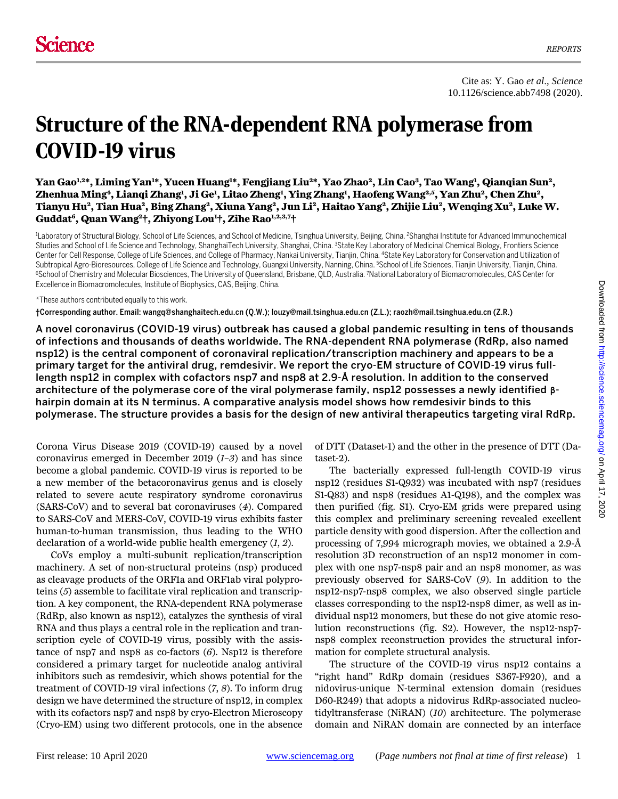# Structure of the RNA-dependent RNA polymerase from COVID-19 virus

Yan Gao<sup>1,2</sup>\*, Liming Yan<sup>1</sup>\*, Yucen Huang<sup>1</sup>\*, Fengjiang Liu<sup>2</sup>\*, Yao Zhao<sup>2</sup>, Lin Cao<sup>3</sup>, Tao Wang<sup>1</sup>, Qianqian Sun<sup>2</sup>, **Zhenhua Ming4, Lianqi Zhang1 , Ji Ge1 , Litao Zheng1 , Ying Zhang1 , Haofeng Wang2,5, Yan Zhu2, Chen Zhu2, Tianyu Hu2, Tian Hua2, Bing Zhang2, Xiuna Yang2, Jun Li2, Haitao Yang2, Zhijie Liu2, Wenqing Xu2, Luke W. Guddat6, Quan Wang2†, Zhiyong Lou1 †, Zihe Rao1,2,3,7†** 

<sup>1</sup>Laboratory of Structural Biology, School of Life Sciences, and School of Medicine, Tsinghua University, Beijing, China. <sup>2</sup>Shanghai Institute for Advanced Immunochemical Studies and School of Life Science and Technology, ShanghaiTech University, Shanghai, China. <sup>3</sup>State Key Laboratory of Medicinal Chemical Biology, Frontiers Science Center for Cell Response, College of Life Sciences, and College of Pharmacy, Nankai University, Tianjin, China. <sup>4</sup>State Key Laboratory for Conservation and Utilization of<br>Subtropical Agro-Bioresources, College of Life Sci Subtropical Agro-Bioresources, College of Life Science and Technology, Guangxi University, Nanning, China. <sup>5</sup>School of Life Sciences, Tianjin University, Tianjin, China.<br><sup>6</sup>School of Chemistry and Molecular Biosciences, T Excellence in Biomacromolecules, Institute of Biophysics, CAS, Beijing, China.

#### \*These authors contributed equally to this work.

†Corresponding author. Email: wangq@shanghaitech.edu.cn (Q.W.); louzy@mail.tsinghua.edu.cn (Z.L.); raozh@mail.tsinghua.edu.cn (Z.R.)

A novel coronavirus (COVID-19 virus) outbreak has caused a global pandemic resulting in tens of thousands of infections and thousands of deaths worldwide. The RNA-dependent RNA polymerase (RdRp, also named nsp12) is the central component of coronaviral replication/transcription machinery and appears to be a primary target for the antiviral drug, remdesivir. We report the cryo-EM structure of COVID-19 virus fulllength nsp12 in complex with cofactors nsp7 and nsp8 at 2.9-Å resolution. In addition to the conserved architecture of the polymerase core of the viral polymerase family, nsp12 possesses a newly identified **β**hairpin domain at its N terminus. A comparative analysis model shows how remdesivir binds to this polymerase. The structure provides a basis for the design of new antiviral therapeutics targeting viral RdRp.

Corona Virus Disease 2019 (COVID-19) caused by a novel coronavirus emerged in December 2019 (*1*–*3*) and has since become a global pandemic. COVID-19 virus is reported to be a new member of the betacoronavirus genus and is closely related to severe acute respiratory syndrome coronavirus (SARS-CoV) and to several bat coronaviruses (*4*). Compared to SARS-CoV and MERS-CoV, COVID-19 virus exhibits faster human-to-human transmission, thus leading to the WHO declaration of a world-wide public health emergency (*1*, *2*).

CoVs employ a multi-subunit replication/transcription machinery. A set of non-structural proteins (nsp) produced as cleavage products of the ORF1a and ORF1ab viral polyproteins (*5*) assemble to facilitate viral replication and transcription. A key component, the RNA-dependent RNA polymerase (RdRp, also known as nsp12), catalyzes the synthesis of viral RNA and thus plays a central role in the replication and transcription cycle of COVID-19 virus, possibly with the assistance of nsp7 and nsp8 as co-factors (*6*). Nsp12 is therefore considered a primary target for nucleotide analog antiviral inhibitors such as remdesivir, which shows potential for the treatment of COVID-19 viral infections (*7*, *8*). To inform drug design we have determined the structure of nsp12, in complex with its cofactors nsp7 and nsp8 by cryo-Electron Microscopy (Cryo-EM) using two different protocols, one in the absence

of DTT (Dataset-1) and the other in the presence of DTT (Dataset-2).

The bacterially expressed full-length COVID-19 virus nsp12 (residues S1-Q932) was incubated with nsp7 (residues S1-Q83) and nsp8 (residues A1-Q198), and the complex was then purified (fig. S1). Cryo-EM grids were prepared using this complex and preliminary screening revealed excellent particle density with good dispersion. After the collection and processing of 7,994 micrograph movies, we obtained a 2.9-Å resolution 3D reconstruction of an nsp12 monomer in complex with one nsp7-nsp8 pair and an nsp8 monomer, as was previously observed for SARS-CoV (*9*). In addition to the nsp12-nsp7-nsp8 complex, we also observed single particle classes corresponding to the nsp12-nsp8 dimer, as well as individual nsp12 monomers, but these do not give atomic resolution reconstructions (fig. S2). However, the nsp12-nsp7 nsp8 complex reconstruction provides the structural information for complete structural analysis.

The structure of the COVID-19 virus nsp12 contains a "right hand" RdRp domain (residues S367-F920), and a nidovirus-unique N-terminal extension domain (residues D60-R249) that adopts a nidovirus RdRp-associated nucleotidyltransferase (NiRAN) (*10*) architecture. The polymerase domain and NiRAN domain are connected by an interface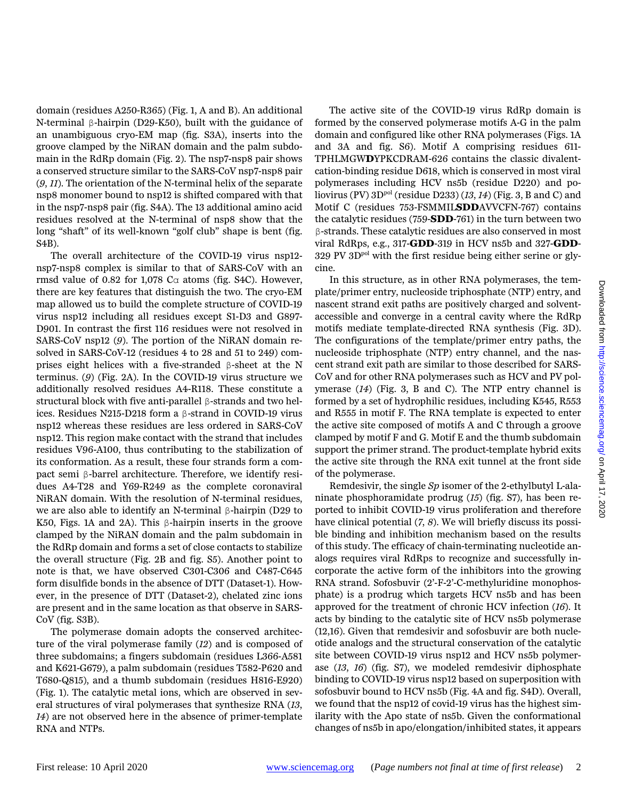domain (residues A250-R365) (Fig. 1, A and B). An additional N-terminal β-hairpin (D29-K50), built with the guidance of an unambiguous cryo-EM map (fig. S3A), inserts into the groove clamped by the NiRAN domain and the palm subdomain in the RdRp domain (Fig. 2). The nsp7-nsp8 pair shows a conserved structure similar to the SARS-CoV nsp7-nsp8 pair (*9*, *11*). The orientation of the N-terminal helix of the separate nsp8 monomer bound to nsp12 is shifted compared with that in the nsp7-nsp8 pair (fig. S4A). The 13 additional amino acid residues resolved at the N-terminal of nsp8 show that the long "shaft" of its well-known "golf club" shape is bent (fig. S4B).

The overall architecture of the COVID-19 virus nsp12 nsp7-nsp8 complex is similar to that of SARS-CoV with an rmsd value of 0.82 for 1,078  $C\alpha$  atoms (fig. S4C). However, there are key features that distinguish the two. The cryo-EM map allowed us to build the complete structure of COVID-19 virus nsp12 including all residues except S1-D3 and G897- D901. In contrast the first 116 residues were not resolved in SARS-CoV nsp12 (*9*). The portion of the NiRAN domain resolved in SARS-CoV-12 (residues 4 to 28 and 51 to 249) comprises eight helices with a five-stranded β-sheet at the N terminus. (*9*) (Fig. 2A). In the COVID-19 virus structure we additionally resolved residues A4-R118. These constitute a structural block with five anti-parallel β-strands and two helices. Residues N215-D218 form a β-strand in COVID-19 virus nsp12 whereas these residues are less ordered in SARS-CoV nsp12. This region make contact with the strand that includes residues V96-A100, thus contributing to the stabilization of its conformation. As a result, these four strands form a compact semi β-barrel architecture. Therefore, we identify residues A4-T28 and Y69-R249 as the complete coronaviral NiRAN domain. With the resolution of N-terminal residues, we are also able to identify an N-terminal β-hairpin (D29 to K50, Figs. 1A and 2A). This β-hairpin inserts in the groove clamped by the NiRAN domain and the palm subdomain in the RdRp domain and forms a set of close contacts to stabilize the overall structure (Fig. 2B and fig. S5). Another point to note is that, we have observed C301-C306 and C487-C645 form disulfide bonds in the absence of DTT (Dataset-1). However, in the presence of DTT (Dataset-2), chelated zinc ions are present and in the same location as that observe in SARS-CoV (fig. S3B).

The polymerase domain adopts the conserved architecture of the viral polymerase family (*12*) and is composed of three subdomains; a fingers subdomain (residues L366-A581 and K621-G679), a palm subdomain (residues T582-P620 and T680-Q815), and a thumb subdomain (residues H816-E920) (Fig. 1). The catalytic metal ions, which are observed in several structures of viral polymerases that synthesize RNA (*13*, *14*) are not observed here in the absence of primer-template RNA and NTPs.

The active site of the COVID-19 virus RdRp domain is formed by the conserved polymerase motifs A-G in the palm domain and configured like other RNA polymerases (Figs. 1A and 3A and fig. S6). Motif A comprising residues 611- TPHLMGW**D**YPKCDRAM-626 contains the classic divalentcation-binding residue D618, which is conserved in most viral polymerases including HCV ns5b (residue D220) and poliovirus (PV) 3D<sup>pol</sup> (residue D233) (13, 14) (Fig. 3, B and C) and Motif C (residues 753-FSMMIL**SDD**AVVCFN-767) contains the catalytic residues (759-**SDD**-761) in the turn between two β-strands. These catalytic residues are also conserved in most viral RdRps, e.g., 317-**GDD**-319 in HCV ns5b and 327-**GDD**- $329 \text{ PV } 3D^{\text{pol}}$  with the first residue being either serine or glycine.

In this structure, as in other RNA polymerases, the template/primer entry, nucleoside triphosphate (NTP) entry, and nascent strand exit paths are positively charged and solventaccessible and converge in a central cavity where the RdRp motifs mediate template-directed RNA synthesis (Fig. 3D). The configurations of the template/primer entry paths, the nucleoside triphosphate (NTP) entry channel, and the nascent strand exit path are similar to those described for SARS-CoV and for other RNA polymerases such as HCV and PV polymerase (*14*) (Fig. 3, B and C). The NTP entry channel is formed by a set of hydrophilic residues, including K545, R553 and R555 in motif F. The RNA template is expected to enter the active site composed of motifs A and C through a groove clamped by motif F and G. Motif E and the thumb subdomain support the primer strand. The product-template hybrid exits the active site through the RNA exit tunnel at the front side of the polymerase.

Remdesivir, the single *Sp* isomer of the 2-ethylbutyl L-alaninate phosphoramidate prodrug (*15*) (fig. S7), has been reported to inhibit COVID-19 virus proliferation and therefore have clinical potential (*7*, *8*). We will briefly discuss its possible binding and inhibition mechanism based on the results of this study. The efficacy of chain-terminating nucleotide analogs requires viral RdRps to recognize and successfully incorporate the active form of the inhibitors into the growing RNA strand. Sofosbuvir (2'-F-2'-C-methyluridine monophosphate) is a prodrug which targets HCV ns5b and has been approved for the treatment of chronic HCV infection (*16*). It acts by binding to the catalytic site of HCV ns5b polymerase (12,16). Given that remdesivir and sofosbuvir are both nucleotide analogs and the structural conservation of the catalytic site between COVID-19 virus nsp12 and HCV ns5b polymerase (*13*, *16*) (fig. S7), we modeled remdesivir diphosphate binding to COVID-19 virus nsp12 based on superposition with sofosbuvir bound to HCV ns5b (Fig. 4A and fig. S4D). Overall, we found that the nsp12 of covid-19 virus has the highest similarity with the Apo state of ns5b. Given the conformational changes of ns5b in apo/elongation/inhibited states, it appears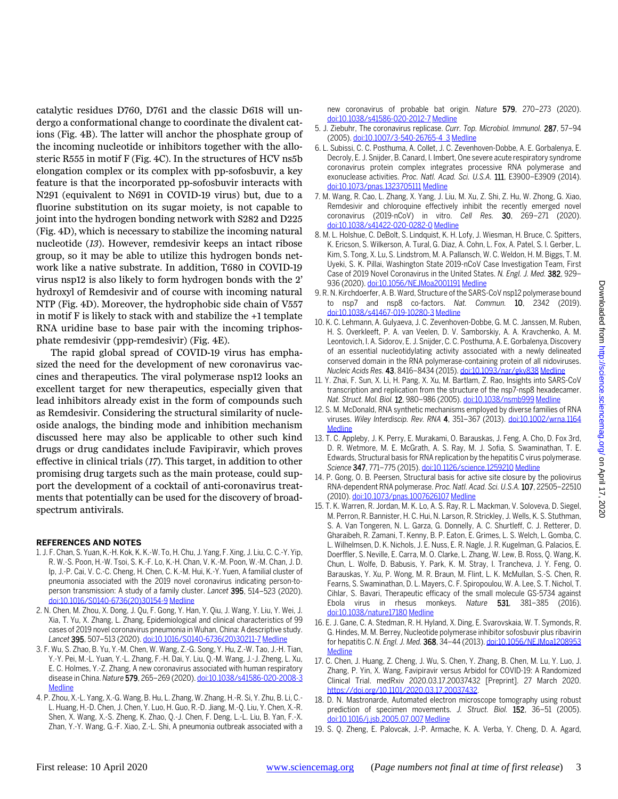catalytic residues D760, D761 and the classic D618 will undergo a conformational change to coordinate the divalent cations (Fig. 4B). The latter will anchor the phosphate group of the incoming nucleotide or inhibitors together with the allosteric R555 in motif F (Fig. 4C). In the structures of HCV ns5b elongation complex or its complex with pp-sofosbuvir, a key feature is that the incorporated pp-sofosbuvir interacts with N291 (equivalent to N691 in COVID-19 virus) but, due to a fluorine substitution on its sugar moiety, is not capable to joint into the hydrogen bonding network with S282 and D225 (Fig. 4D), which is necessary to stabilize the incoming natural nucleotide (*13*). However, remdesivir keeps an intact ribose group, so it may be able to utilize this hydrogen bonds network like a native substrate. In addition, T680 in COVID-19 virus nsp12 is also likely to form hydrogen bonds with the 2' hydroxyl of Remdesivir and of course with incoming natural NTP (Fig. 4D). Moreover, the hydrophobic side chain of V557 in motif F is likely to stack with and stabilize the +1 template RNA uridine base to base pair with the incoming triphosphate remdesivir (ppp-remdesivir) (Fig. 4E).

The rapid global spread of COVID-19 virus has emphasized the need for the development of new coronavirus vaccines and therapeutics. The viral polymerase nsp12 looks an excellent target for new therapeutics, especially given that lead inhibitors already exist in the form of compounds such as Remdesivir. Considering the structural similarity of nucleoside analogs, the binding mode and inhibition mechanism discussed here may also be applicable to other such kind drugs or drug candidates include Favipiravir, which proves effective in clinical trials (*17*). This target, in addition to other promising drug targets such as the main protease, could support the development of a cocktail of anti-coronavirus treatments that potentially can be used for the discovery of broadspectrum antivirals.

## **REFERENCES AND NOTES**

- 1. J. F. Chan, S. Yuan, K.-H. Kok, K. K.-W. To, H. Chu, J. Yang, F. Xing, J. Liu, C. C.-Y. Yip, R. W.-S. Poon, H.-W. Tsoi, S. K.-F. Lo, K.-H. Chan, V. K.-M. Poon, W.-M. Chan, J. D. Ip, J.-P. Cai, V. C.-C. Cheng, H. Chen, C. K.-M. Hui, K.-Y. Yuen, A familial cluster of pneumonia associated with the 2019 novel coronavirus indicating person-toperson transmission: A study of a family cluster. *Lancet* 395, 514–523 (2020). [doi:10.1016/S0140-6736\(20\)30154-9](http://dx.doi.org/10.1016/S0140-6736(20)30154-9) [Medline](http://www.ncbi.nlm.nih.gov/entrez/query.fcgi?cmd=Retrieve&db=PubMed&list_uids=31986261&dopt=Abstract)
- 2. N. Chen, M. Zhou, X. Dong, J. Qu, F. Gong, Y. Han, Y. Qiu, J. Wang, Y. Liu, Y. Wei, J. Xia, T. Yu, X. Zhang, L. Zhang, Epidemiological and clinical characteristics of 99 cases of 2019 novel coronavirus pneumonia in Wuhan, China: A descriptive study. *Lancet* 395, 507–513 (2020)[. doi:10.1016/S0140-6736\(20\)30211-7](http://dx.doi.org/10.1016/S0140-6736(20)30211-7) [Medline](http://www.ncbi.nlm.nih.gov/entrez/query.fcgi?cmd=Retrieve&db=PubMed&list_uids=32007143&dopt=Abstract)
- 3. F. Wu, S. Zhao, B. Yu, Y.-M. Chen, W. Wang, Z.-G. Song, Y. Hu, Z.-W. Tao, J.-H. Tian, Y.-Y. Pei, M.-L. Yuan, Y.-L. Zhang, F.-H. Dai, Y. Liu, Q.-M. Wang, J.-J. Zheng, L. Xu, E. C. Holmes, Y.-Z. Zhang, A new coronavirus associated with human respiratory disease in China. *Nature* 579, 265–269 (2020)[. doi:10.1038/s41586-020-2008-3](http://dx.doi.org/10.1038/s41586-020-2008-3) **[Medline](http://www.ncbi.nlm.nih.gov/entrez/query.fcgi?cmd=Retrieve&db=PubMed&list_uids=32015508&dopt=Abstract)**
- 4. P. Zhou, X.-L. Yang, X.-G. Wang, B. Hu, L. Zhang, W. Zhang, H.-R. Si, Y. Zhu, B. Li, C.- L. Huang, H.-D. Chen, J. Chen, Y. Luo, H. Guo, R.-D. Jiang, M.-Q. Liu, Y. Chen, X.-R. Shen, X. Wang, X.-S. Zheng, K. Zhao, Q.-J. Chen, F. Deng, L.-L. Liu, B. Yan, F.-X. Zhan, Y.-Y. Wang, G.-F. Xiao, Z.-L. Shi, A pneumonia outbreak associated with a

new coronavirus of probable bat origin. *Nature* 579, 270–273 (2020). [doi:10.1038/s41586-020-2012-7](http://dx.doi.org/10.1038/s41586-020-2012-7) [Medline](http://www.ncbi.nlm.nih.gov/entrez/query.fcgi?cmd=Retrieve&db=PubMed&list_uids=32015507&dopt=Abstract)

- 5. J. Ziebuhr, The coronavirus replicase. *Curr. Top. Microbiol. Immunol.* 287, 57–94 (2005)[. doi:10.1007/3-540-26765-4\\_3](http://dx.doi.org/10.1007/3-540-26765-4_3) [Medline](http://www.ncbi.nlm.nih.gov/entrez/query.fcgi?cmd=Retrieve&db=PubMed&list_uids=15609509&dopt=Abstract)
- 6. L. Subissi, C. C. Posthuma, A. Collet, J. C. Zevenhoven-Dobbe, A. E. Gorbalenya, E. Decroly, E. J. Snijder, B. Canard, I. Imbert, One severe acute respiratory syndrome coronavirus protein complex integrates processive RNA polymerase and exonuclease activities. *Proc. Natl. Acad. Sci. U.S.A.* 111, E3900–E3909 (2014). [doi:10.1073/pnas.1323705111](http://dx.doi.org/10.1073/pnas.1323705111) [Medline](http://www.ncbi.nlm.nih.gov/entrez/query.fcgi?cmd=Retrieve&db=PubMed&list_uids=25197083&dopt=Abstract)
- 7. M. Wang, R. Cao, L. Zhang, X. Yang, J. Liu, M. Xu, Z. Shi, Z. Hu, W. Zhong, G. Xiao, Remdesivir and chloroquine effectively inhibit the recently emerged novel coronavirus (2019-nCoV) in vitro. *Cell Res.* 30, 269–271 (2020). [doi:10.1038/s41422-020-0282-0](http://dx.doi.org/10.1038/s41422-020-0282-0) [Medline](http://www.ncbi.nlm.nih.gov/entrez/query.fcgi?cmd=Retrieve&db=PubMed&list_uids=32020029&dopt=Abstract)
- 8. M. L. Holshue, C. DeBolt, S. Lindquist, K. H. Lofy, J. Wiesman, H. Bruce, C. Spitters, K. Ericson, S. Wilkerson, A. Tural, G. Diaz, A. Cohn, L. Fox, A. Patel, S. I. Gerber, L. Kim, S. Tong, X. Lu, S. Lindstrom, M. A. Pallansch, W. C. Weldon, H. M. Biggs, T. M. Uyeki, S. K. Pillai, Washington State 2019-nCoV Case Investigation Team, First Case of 2019 Novel Coronavirus in the United States. *N. Engl. J. Med.* 382, 929– 936 (2020)[. doi:10.1056/NEJMoa2001191](http://dx.doi.org/10.1056/NEJMoa2001191) [Medline](http://www.ncbi.nlm.nih.gov/entrez/query.fcgi?cmd=Retrieve&db=PubMed&list_uids=32004427&dopt=Abstract)
- 9. R. N. Kirchdoerfer, A. B. Ward, Structure of the SARS-CoV nsp12 polymerase bound to nsp7 and nsp8 co-factors. *Nat. Commun.* 10, 2342 (2019). [doi:10.1038/s41467-019-10280-3](http://dx.doi.org/10.1038/s41467-019-10280-3) [Medline](http://www.ncbi.nlm.nih.gov/entrez/query.fcgi?cmd=Retrieve&db=PubMed&list_uids=31138817&dopt=Abstract)
- 10. K. C. Lehmann, A. Gulyaeva, J. C. Zevenhoven-Dobbe, G. M. C. Janssen, M. Ruben, H. S. Overkleeft, P. A. van Veelen, D. V. Samborskiy, A. A. Kravchenko, A. M. Leontovich, I. A. Sidorov, E. J. Snijder, C. C. Posthuma, A. E. Gorbalenya, Discovery of an essential nucleotidylating activity associated with a newly delineated conserved domain in the RNA polymerase-containing protein of all nidoviruses. *Nucleic Acids Res.* 43, 8416–8434 (2015)[. doi:10.1093/nar/gkv838](http://dx.doi.org/10.1093/nar/gkv838) [Medline](http://www.ncbi.nlm.nih.gov/entrez/query.fcgi?cmd=Retrieve&db=PubMed&list_uids=26304538&dopt=Abstract)
- 11. Y. Zhai, F. Sun, X. Li, H. Pang, X. Xu, M. Bartlam, Z. Rao, Insights into SARS-CoV transcription and replication from the structure of the nsp7-nsp8 hexadecamer. *Nat. Struct. Mol. Biol.* 12, 980–986 (2005)[. doi:10.1038/nsmb999](http://dx.doi.org/10.1038/nsmb999) [Medline](http://www.ncbi.nlm.nih.gov/entrez/query.fcgi?cmd=Retrieve&db=PubMed&list_uids=16228002&dopt=Abstract)
- 12. S. M. McDonald, RNA synthetic mechanisms employed by diverse families of RNA viruses. *Wiley Interdiscip. Rev. RNA* 4, 351–367 (2013). [doi:10.1002/wrna.1164](http://dx.doi.org/10.1002/wrna.1164) [Medline](http://www.ncbi.nlm.nih.gov/entrez/query.fcgi?cmd=Retrieve&db=PubMed&list_uids=23606593&dopt=Abstract)
- 13. T. C. Appleby, J. K. Perry, E. Murakami, O. Barauskas, J. Feng, A. Cho, D. Fox 3rd, D. R. Wetmore, M. E. McGrath, A. S. Ray, M. J. Sofia, S. Swaminathan, T. E. Edwards, Structural basis for RNA replication by the hepatitis C virus polymerase. *Science* 347, 771–775 (2015)[. doi:10.1126/science.1259210](http://dx.doi.org/10.1126/science.1259210) [Medline](http://www.ncbi.nlm.nih.gov/entrez/query.fcgi?cmd=Retrieve&db=PubMed&list_uids=25678663&dopt=Abstract)
- 14. P. Gong, O. B. Peersen, Structural basis for active site closure by the poliovirus RNA-dependent RNA polymerase. *Proc. Natl. Acad. Sci. U.S.A.*107, 22505–22510 (2010)[. doi:10.1073/pnas.1007626107](http://dx.doi.org/10.1073/pnas.1007626107) [Medline](http://www.ncbi.nlm.nih.gov/entrez/query.fcgi?cmd=Retrieve&db=PubMed&list_uids=21148772&dopt=Abstract)
- 15. T. K. Warren, R. Jordan, M. K. Lo, A. S. Ray, R. L. Mackman, V. Soloveva, D. Siegel, M. Perron, R. Bannister, H. C. Hui, N. Larson, R. Strickley, J. Wells, K. S. Stuthman, S. A. Van Tongeren, N. L. Garza, G. Donnelly, A. C. Shurtleff, C. J. Retterer, D. Gharaibeh, R. Zamani, T. Kenny, B. P. Eaton, E. Grimes, L. S. Welch, L. Gomba, C. L. Wilhelmsen, D. K. Nichols, J. E. Nuss, E. R. Nagle, J. R. Kugelman, G. Palacios, E. Doerffler, S. Neville, E. Carra, M. O. Clarke, L. Zhang, W. Lew, B. Ross, Q. Wang, K. Chun, L. Wolfe, D. Babusis, Y. Park, K. M. Stray, I. Trancheva, J. Y. Feng, O. Barauskas, Y. Xu, P. Wong, M. R. Braun, M. Flint, L. K. McMullan, S.-S. Chen, R. Fearns, S. Swaminathan, D. L. Mayers, C. F. Spiropoulou, W. A. Lee, S. T. Nichol, T. Cihlar, S. Bavari, Therapeutic efficacy of the small molecule GS-5734 against Ebola virus in rhesus monkeys. *Nature* 531, 381–385 (2016). [doi:10.1038/nature17180](http://dx.doi.org/10.1038/nature17180) [Medline](http://www.ncbi.nlm.nih.gov/entrez/query.fcgi?cmd=Retrieve&db=PubMed&list_uids=26934220&dopt=Abstract)
- 16. E. J. Gane, C. A. Stedman, R. H. Hyland, X. Ding, E. Svarovskaia, W. T. Symonds, R. G. Hindes, M. M. Berrey, Nucleotide polymerase inhibitor sofosbuvir plus ribavirin for hepatitis C. *N. Engl. J. Med.* 368, 34–44 (2013)[. doi:10.1056/NEJMoa1208953](http://dx.doi.org/10.1056/NEJMoa1208953) **[Medline](http://www.ncbi.nlm.nih.gov/entrez/query.fcgi?cmd=Retrieve&db=PubMed&list_uids=23281974&dopt=Abstract)**
- 17. C. Chen, J. Huang, Z. Cheng, J. Wu, S. Chen, Y. Zhang, B. Chen, M. Lu, Y. Luo, J. Zhang, P. Yin, X. Wang, Favipiravir versus Arbidol for COVID-19: A Randomized Clinical Trial. medRxiv 2020.03.17.20037432 [Preprint]. 27 March 2020. [https://doi.org/10.1101/2020.03.17.20037432.](https://doi.org/10.1101/2020.03.17.20037432)
- 18. D. N. Mastronarde, Automated electron microscope tomography using robust prediction of specimen movements. *J. Struct. Biol.* 152, 36–51 (2005). [doi:10.1016/j.jsb.2005.07.007](http://dx.doi.org/10.1016/j.jsb.2005.07.007) [Medline](http://www.ncbi.nlm.nih.gov/entrez/query.fcgi?cmd=Retrieve&db=PubMed&list_uids=16182563&dopt=Abstract)
- 19. S. Q. Zheng, E. Palovcak, J.-P. Armache, K. A. Verba, Y. Cheng, D. A. Agard,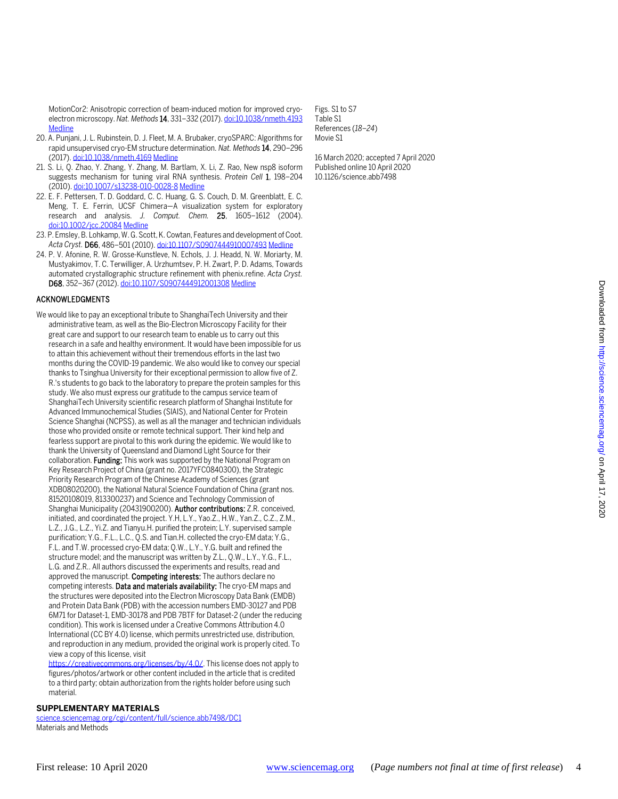MotionCor2: Anisotropic correction of beam-induced motion for improved cryoelectron microscopy. *Nat. Methods* 14, 331–332 (2017)[. doi:10.1038/nmeth.4193](http://dx.doi.org/10.1038/nmeth.4193) **[Medline](http://www.ncbi.nlm.nih.gov/entrez/query.fcgi?cmd=Retrieve&db=PubMed&list_uids=28250466&dopt=Abstract)** 

- 20. A. Punjani, J. L. Rubinstein, D. J. Fleet, M. A. Brubaker, cryoSPARC: Algorithms for rapid unsupervised cryo-EM structure determination. *Nat. Methods* 14, 290–296 (2017)[. doi:10.1038/nmeth.4169](http://dx.doi.org/10.1038/nmeth.4169) [Medline](http://www.ncbi.nlm.nih.gov/entrez/query.fcgi?cmd=Retrieve&db=PubMed&list_uids=28165473&dopt=Abstract)
- 21. S. Li, Q. Zhao, Y. Zhang, Y. Zhang, M. Bartlam, X. Li, Z. Rao, New nsp8 isoform suggests mechanism for tuning viral RNA synthesis. *Protein Cell* 1, 198–204 (2010)[. doi:10.1007/s13238-010-0028-8](http://dx.doi.org/10.1007/s13238-010-0028-8) [Medline](http://www.ncbi.nlm.nih.gov/entrez/query.fcgi?cmd=Retrieve&db=PubMed&list_uids=21203988&dopt=Abstract)
- 22. E. F. Pettersen, T. D. Goddard, C. C. Huang, G. S. Couch, D. M. Greenblatt, E. C. Meng, T. E. Ferrin, UCSF Chimera—A visualization system for exploratory research and analysis. *J. Comput. Chem.* 25, 1605–1612 (2004). [doi:10.1002/jcc.20084](http://dx.doi.org/10.1002/jcc.20084) [Medline](http://www.ncbi.nlm.nih.gov/entrez/query.fcgi?cmd=Retrieve&db=PubMed&list_uids=15264254&dopt=Abstract)
- 23. P. Emsley, B. Lohkamp, W. G. Scott, K. Cowtan, Features and development of Coot. *Acta Cryst.* D66, 486–501 (2010)[. doi:10.1107/S0907444910007493](http://dx.doi.org/10.1107/S0907444910007493) [Medline](http://www.ncbi.nlm.nih.gov/entrez/query.fcgi?cmd=Retrieve&db=PubMed&list_uids=20383002&dopt=Abstract)
- 24. P. V. Afonine, R. W. Grosse-Kunstleve, N. Echols, J. J. Headd, N. W. Moriarty, M. Mustyakimov, T. C. Terwilliger, A. Urzhumtsev, P. H. Zwart, P. D. Adams, Towards automated crystallographic structure refinement with phenix.refine. *Acta Cryst.* D68, 352–367 (2012)[. doi:10.1107/S0907444912001308](http://dx.doi.org/10.1107/S0907444912001308) [Medline](http://www.ncbi.nlm.nih.gov/entrez/query.fcgi?cmd=Retrieve&db=PubMed&list_uids=22505256&dopt=Abstract)

#### ACKNOWLEDGMENTS

- We would like to pay an exceptional tribute to ShanghaiTech University and their administrative team, as well as the Bio-Electron Microscopy Facility for their great care and support to our research team to enable us to carry out this research in a safe and healthy environment. It would have been impossible for us to attain this achievement without their tremendous efforts in the last two months during the COVID-19 pandemic. We also would like to convey our special thanks to Tsinghua University for their exceptional permission to allow five of Z. R.'s students to go back to the laboratory to prepare the protein samples for this study. We also must express our gratitude to the campus service team of ShanghaiTech University scientific research platform of Shanghai Institute for Advanced Immunochemical Studies (SIAIS), and National Center for Protein Science Shanghai (NCPSS), as well as all the manager and technician individuals those who provided onsite or remote technical support. Their kind help and fearless support are pivotal to this work during the epidemic. We would like to thank the University of Queensland and Diamond Light Source for their collaboration. Funding: This work was supported by the National Program on Key Research Project of China (grant no. 2017YFC0840300), the Strategic Priority Research Program of the Chinese Academy of Sciences (grant XDB08020200), the National Natural Science Foundation of China (grant nos. 81520108019, 813300237) and Science and Technology Commission of Shanghai Municipality (20431900200). Author contributions: Z.R. conceived, initiated, and coordinated the project. Y.H, L.Y., Yao.Z., H.W., Yan.Z., C.Z., Z.M., L.Z., J.G., L.Z., Yi.Z. and Tianyu.H. purified the protein; L.Y. supervised sample purification; Y.G., F.L., L.C., Q.S. and Tian.H. collected the cryo-EM data; Y.G., F.L. and T.W. processed cryo-EM data; Q.W., L.Y., Y.G. built and refined the structure model; and the manuscript was written by Z.L., Q.W., L.Y., Y.G., F.L., L.G. and Z.R.. All authors discussed the experiments and results, read and approved the manuscript. Competing interests: The authors declare no competing interests. Data and materials availability: The cryo-EM maps and the structures were deposited into the Electron Microscopy Data Bank (EMDB) and Protein Data Bank (PDB) with the accession numbers EMD-30127 and PDB 6M71 for Dataset-1, EMD-30178 and PDB 7BTF for Dataset-2 (under the reducing condition). This work is licensed under a Creative Commons Attribution 4.0 International (CC BY 4.0) license, which permits unrestricted use, distribution, and reproduction in any medium, provided the original work is properly cited. To view a copy of this license, visit
	- [https://creativecommons.org/licenses/by/4.0/.](https://creativecommons.org/licenses/by/4.0/) This license does not apply to figures/photos/artwork or other content included in the article that is credited to a third party; obtain authorization from the rights holder before using such material.

#### **SUPPLEMENTARY MATERIALS**

[science.sciencemag.org/cgi/content/full/science.abb7498/DC1](https://science.sciencemag.org/cgi/content/full/science.abb7498/DC1) Materials and Methods

Figs. S1 to S7 Table S1 References (*18*–*24*) Movie S1

16 March 2020; accepted 7 April 2020 Published online 10 April 2020 10.1126/science.abb7498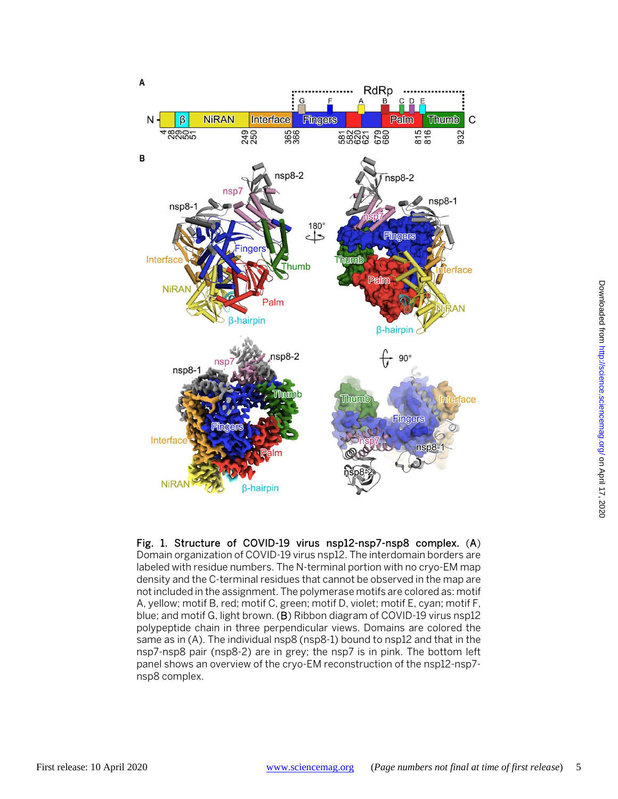

Fig. 1. Structure of COVID-19 virus nsp12-nsp7-nsp8 complex. (A) Domain organization of COVID-19 virus nsp12. The interdomain borders are labeled with residue numbers. The N-terminal portion with no cryo-EM map density and the C-terminal residues that cannot be observed in the map are not included in the assignment. The polymerase motifs are colored as: motif A, yellow; motif B, red; motif C, green; motif D, violet; motif E, cyan; motif F, blue; and motif G, light brown. (B) Ribbon diagram of COVID-19 virus nsp12 polypeptide chain in three perpendicular views. Domains are colored the same as in (A). The individual nsp8 (nsp8-1) bound to nsp12 and that in the nsp7-nsp8 pair (nsp8-2) are in grey; the nsp7 is in pink. The bottom left panel shows an overview of the cryo-EM reconstruction of the nsp12-nsp7 nsp8 complex.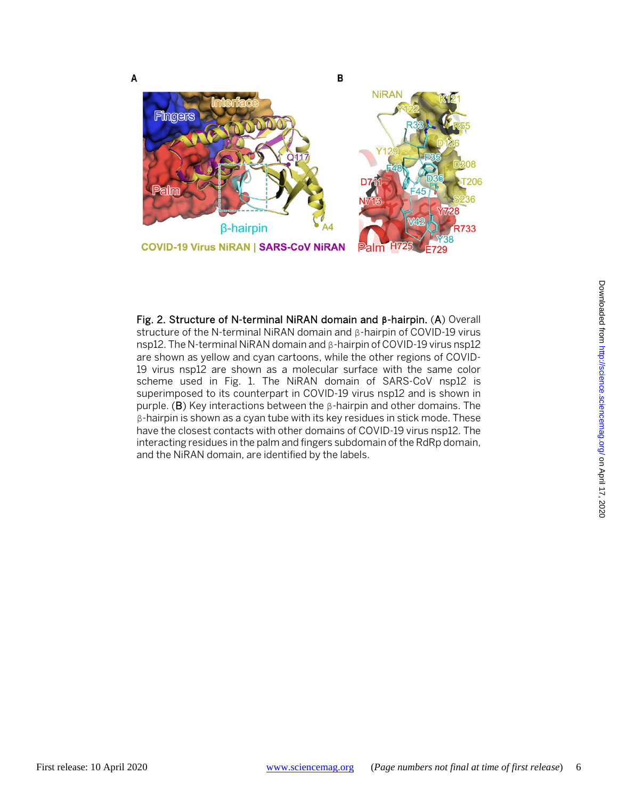

Fig. 2. Structure of N-terminal NiRAN domain and **β**-hairpin. (A) Overall structure of the N-terminal NiRAN domain and β-hairpin of COVID-19 virus nsp12. The N-terminal NiRAN domain and β-hairpin of COVID-19 virus nsp12 are shown as yellow and cyan cartoons, while the other regions of COVID-19 virus nsp12 are shown as a molecular surface with the same color scheme used in Fig. 1. The NiRAN domain of SARS-CoV nsp12 is superimposed to its counterpart in COVID-19 virus nsp12 and is shown in purple. (B) Key interactions between the β-hairpin and other domains. The β-hairpin is shown as a cyan tube with its key residues in stick mode. These have the closest contacts with other domains of COVID-19 virus nsp12. The interacting residues in the palm and fingers subdomain of the RdRp domain, and the NiRAN domain, are identified by the labels.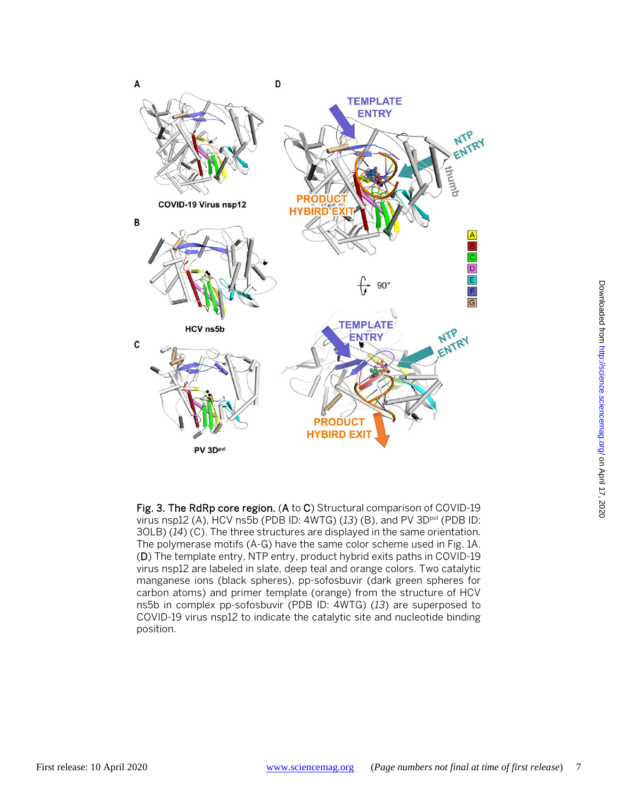

Fig. 3. The RdRp core region. (A to C) Structural comparison of COVID-19 virus nsp12 (A), HCV ns5b (PDB ID: 4WTG) (*13*) (B), and PV 3Dpol (PDB ID: 3OLB) (*14*) (C). The three structures are displayed in the same orientation. The polymerase motifs (A-G) have the same color scheme used in Fig. 1A. (D) The template entry, NTP entry, product hybrid exits paths in COVID-19 virus nsp12 are labeled in slate, deep teal and orange colors. Two catalytic manganese ions (black spheres), pp-sofosbuvir (dark green spheres for carbon atoms) and primer template (orange) from the structure of HCV ns5b in complex pp-sofosbuvir (PDB ID: 4WTG) (*13*) are superposed to COVID-19 virus nsp12 to indicate the catalytic site and nucleotide binding position.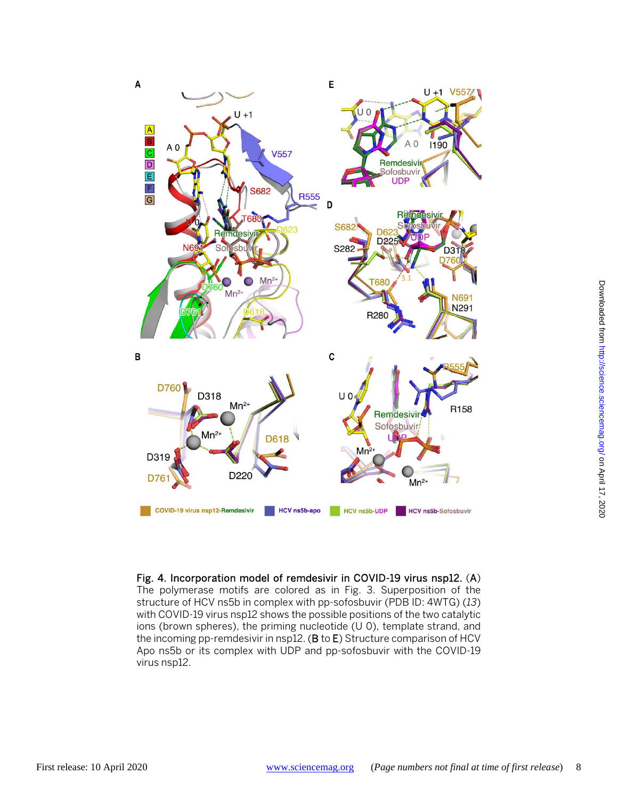

Fig. 4. Incorporation model of remdesivir in COVID-19 virus nsp12. (A) The polymerase motifs are colored as in Fig. 3. Superposition of the structure of HCV ns5b in complex with pp-sofosbuvir (PDB ID: 4WTG) (*13*) with COVID-19 virus nsp12 shows the possible positions of the two catalytic ions (brown spheres), the priming nucleotide (U 0), template strand, and the incoming pp-remdesivir in nsp12. (B to E) Structure comparison of HCV Apo ns5b or its complex with UDP and pp-sofosbuvir with the COVID-19 virus nsp12.